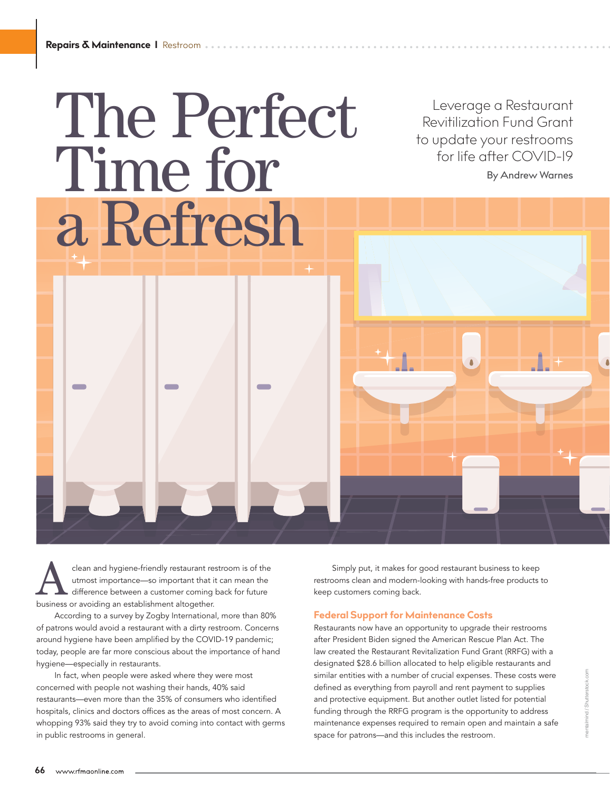## The Perfect Time for a Refresh

Leverage a Restaurant Revitilization Fund Grant to update your restrooms for life after COVID-19 By Andrew Warnes

clean and hygiene-friendly restaurant restroom is of the utmost importance—so important that it can mean the difference between a customer coming back for future business or avoiding an establishment altogether.

According to a survey by Zogby International, more than 80% of patrons would avoid a restaurant with a dirty restroom. Concerns around hygiene have been amplified by the COVID-19 pandemic; today, people are far more conscious about the importance of hand hygiene—especially in restaurants.

In fact, when people were asked where they were most concerned with people not washing their hands, 40% said restaurants—even more than the 35% of consumers who identified hospitals, clinics and doctors offices as the areas of most concern. A whopping 93% said they try to avoid coming into contact with germs in public restrooms in general.

Simply put, it makes for good restaurant business to keep restrooms clean and modern-looking with hands-free products to keep customers coming back.

## **Federal Support for Maintenance Costs**

Restaurants now have an opportunity to upgrade their restrooms after President Biden signed the American Rescue Plan Act. The law created the Restaurant Revitalization Fund Grant (RRFG) with a designated \$28.6 billion allocated to help eligible restaurants and similar entities with a number of crucial expenses. These costs were defined as everything from payroll and rent payment to supplies and protective equipment. But another outlet listed for potential funding through the RRFG program is the opportunity to address maintenance expenses required to remain open and maintain a safe space for patrons—and this includes the restroom.